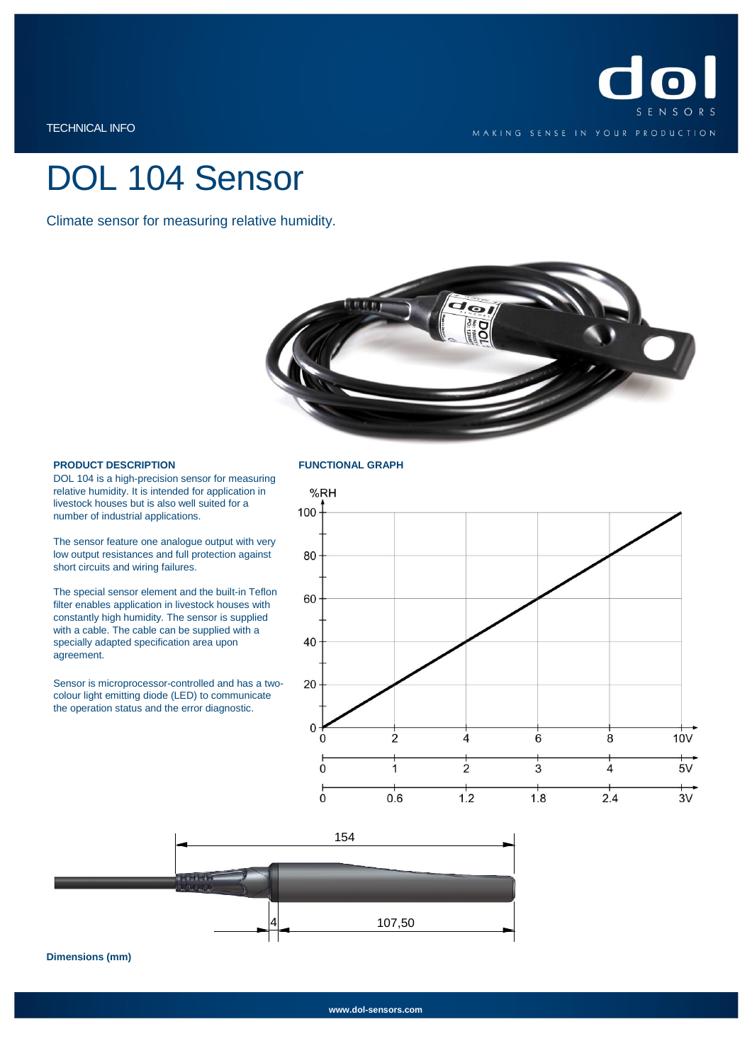

TECHNICAL INFO

# DOL 104 Sensor

Climate sensor for measuring relative humidity.



### **PRODUCT DESCRIPTION**

DOL 104 is a high-precision sensor for measuring relative humidity. It is intended for application in livestock houses but is also well suited for a number of industrial applications.

The sensor feature one analogue output with very low output resistances and full protection against short circuits and wiring failures.

The special sensor element and the built-in Teflon filter enables application in livestock houses with constantly high humidity. The sensor is supplied with a cable. The cable can be supplied with a specially adapted specification area upon agreement.

Sensor is microprocessor-controlled and has a twocolour light emitting diode (LED) to communicate the operation status and the error diagnostic.

### **FUNCTIONAL GRAPH**





**Dimensions (mm)**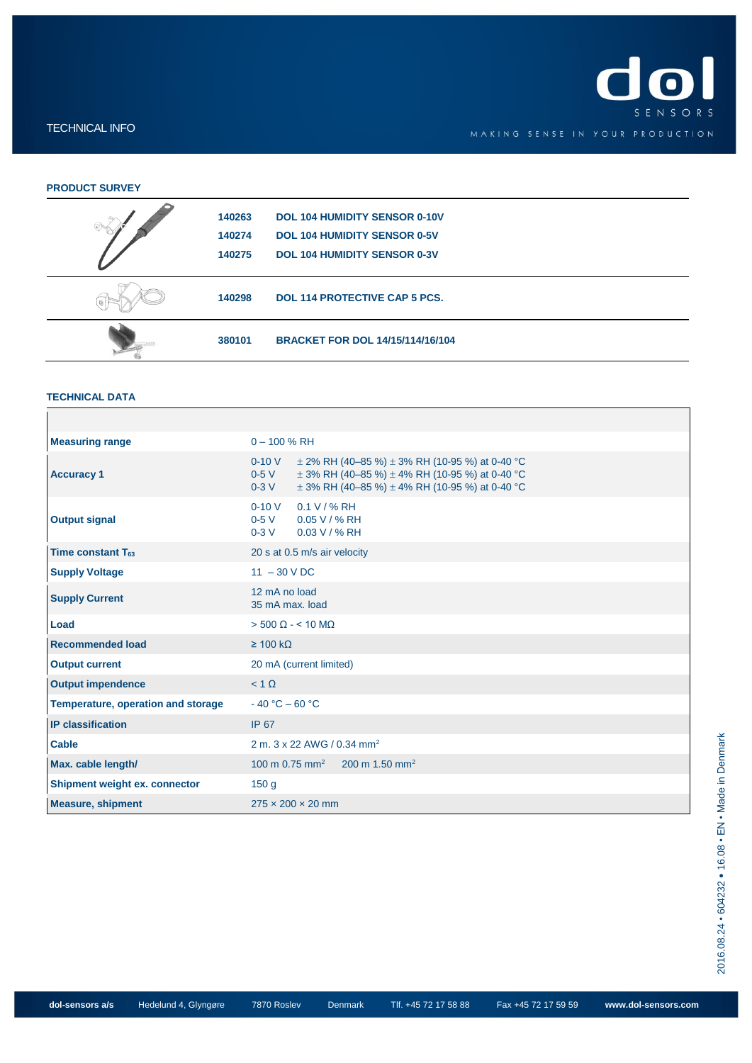

### TECHNICAL INFO

## **PRODUCT SURVEY**

| $\bigcirc$ | 140263<br>140274 | <b>DOL 104 HUMIDITY SENSOR 0-10V</b><br><b>DOL 104 HUMIDITY SENSOR 0-5V</b> |
|------------|------------------|-----------------------------------------------------------------------------|
|            | 140275           | <b>DOL 104 HUMIDITY SENSOR 0-3V</b>                                         |
|            | 140298           | <b>DOL 114 PROTECTIVE CAP 5 PCS.</b>                                        |
|            | 380101           | <b>BRACKET FOR DOL 14/15/114/16/104</b>                                     |

### **TECHNICAL DATA**

| <b>Measuring range</b>             | $0 - 100$ % RH                                                                                                                                                                                             |  |  |  |  |
|------------------------------------|------------------------------------------------------------------------------------------------------------------------------------------------------------------------------------------------------------|--|--|--|--|
| <b>Accuracy 1</b>                  | $0-10V$<br>$\pm$ 2% RH (40–85 %) $\pm$ 3% RH (10-95 %) at 0-40 °C<br>$0-5V$<br>$\pm$ 3% RH (40-85 %) $\pm$ 4% RH (10-95 %) at 0-40 °C<br>$\pm$ 3% RH (40–85 %) $\pm$ 4% RH (10-95 %) at 0-40 °C<br>$0-3$ V |  |  |  |  |
| <b>Output signal</b>               | $0 - 10 V$<br>$0.1 V / \% R$ H<br>0-5 V 0.05 V / % RH<br>$0 - 3V$<br>$0.03 V / \% R$ H                                                                                                                     |  |  |  |  |
| Time constant $T_{63}$             | 20 s at 0.5 m/s air velocity                                                                                                                                                                               |  |  |  |  |
| <b>Supply Voltage</b>              | $11 - 30$ V DC                                                                                                                                                                                             |  |  |  |  |
| <b>Supply Current</b>              | 12 mA no load<br>35 mA max. load                                                                                                                                                                           |  |  |  |  |
| Load                               | $>$ 500 $\Omega$ - < 10 M $\Omega$                                                                                                                                                                         |  |  |  |  |
| <b>Recommended load</b>            | $\geq 100 \text{ k}\Omega$                                                                                                                                                                                 |  |  |  |  |
| <b>Output current</b>              | 20 mA (current limited)                                                                                                                                                                                    |  |  |  |  |
| <b>Output impendence</b>           | $< 1 \Omega$                                                                                                                                                                                               |  |  |  |  |
| Temperature, operation and storage | $-40 °C - 60 °C$                                                                                                                                                                                           |  |  |  |  |
| <b>IP</b> classification           | <b>IP 67</b>                                                                                                                                                                                               |  |  |  |  |
| <b>Cable</b>                       | 2 m. 3 x 22 AWG / 0.34 mm <sup>2</sup>                                                                                                                                                                     |  |  |  |  |
| Max. cable length/                 | 100 m 0.75 mm <sup>2</sup> 200 m 1.50 mm <sup>2</sup>                                                                                                                                                      |  |  |  |  |
| Shipment weight ex. connector      | 150 g                                                                                                                                                                                                      |  |  |  |  |
| <b>Measure, shipment</b>           | $275 \times 200 \times 20$ mm                                                                                                                                                                              |  |  |  |  |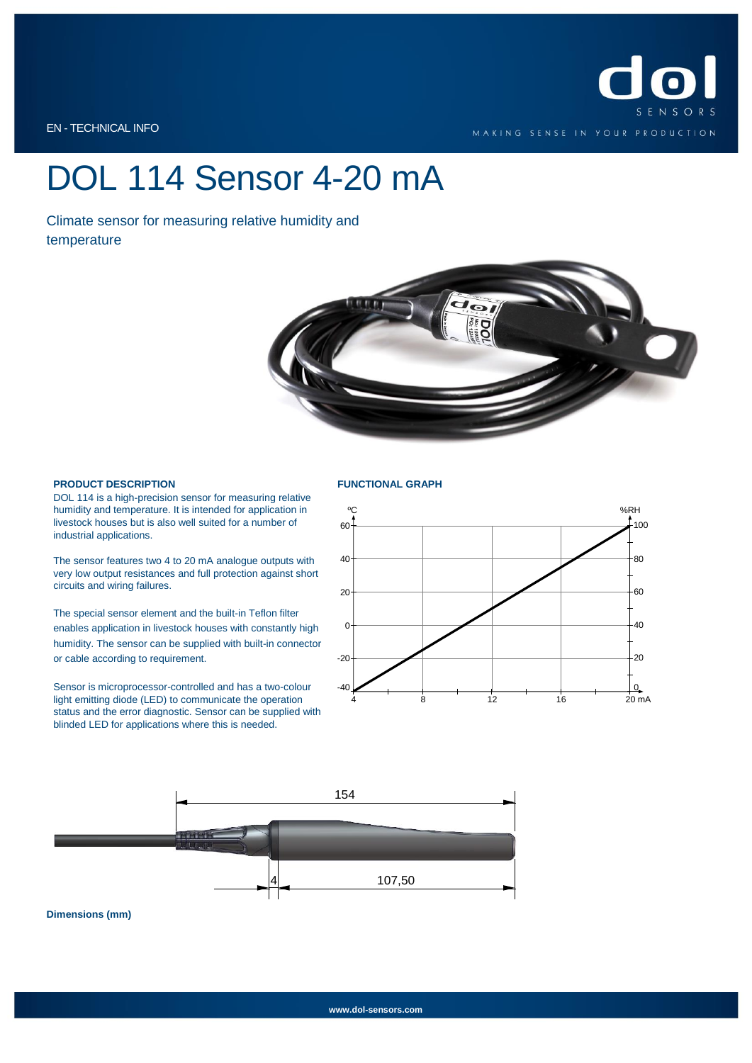

EN - TECHNICAL INFO

## DOL 114 Sensor 4-20 mA

Climate sensor for measuring relative humidity and temperature



### **PRODUCT DESCRIPTION**

DOL 114 is a high-precision sensor for measuring relative humidity and temperature. It is intended for application in livestock houses but is also well suited for a number of industrial applications.

The sensor features two 4 to 20 mA analogue outputs with very low output resistances and full protection against short circuits and wiring failures.

The special sensor element and the built-in Teflon filter enables application in livestock houses with constantly high humidity. The sensor can be supplied with built-in connector or cable according to requirement.

Sensor is microprocessor-controlled and has a two-colour light emitting diode (LED) to communicate the operation status and the error diagnostic. Sensor can be supplied with blinded LED for applications where this is needed.

#### **FUNCTIONAL GRAPH**





**Dimensions (mm)**